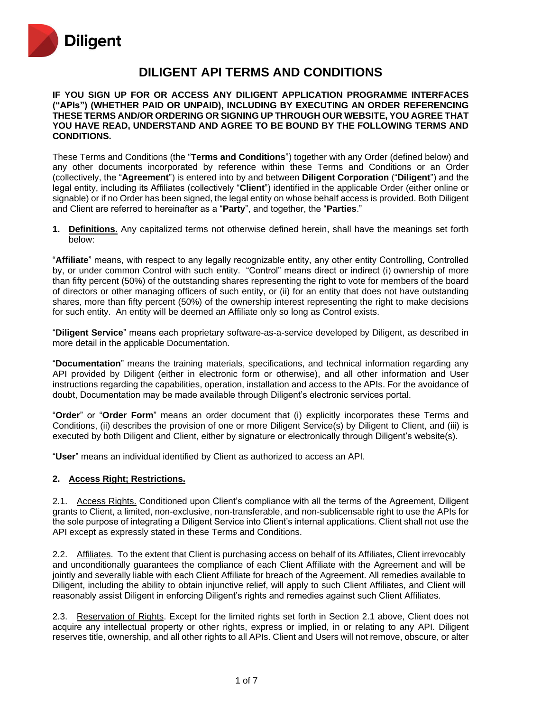

# **DILIGENT API TERMS AND CONDITIONS**

**IF YOU SIGN UP FOR OR ACCESS ANY DILIGENT APPLICATION PROGRAMME INTERFACES ("APIs") (WHETHER PAID OR UNPAID), INCLUDING BY EXECUTING AN ORDER REFERENCING THESE TERMS AND/OR ORDERING OR SIGNING UP THROUGH OUR WEBSITE, YOU AGREE THAT YOU HAVE READ, UNDERSTAND AND AGREE TO BE BOUND BY THE FOLLOWING TERMS AND CONDITIONS.**

These Terms and Conditions (the "**Terms and Conditions**") together with any Order (defined below) and any other documents incorporated by reference within these Terms and Conditions or an Order (collectively, the "**Agreement**") is entered into by and between **Diligent Corporation** ("**Diligent**") and the legal entity, including its Affiliates (collectively "**Client**") identified in the applicable Order (either online or signable) or if no Order has been signed, the legal entity on whose behalf access is provided. Both Diligent and Client are referred to hereinafter as a "**Party**", and together, the "**Parties**."

**1. Definitions.** Any capitalized terms not otherwise defined herein, shall have the meanings set forth below:

"**Affiliate**" means, with respect to any legally recognizable entity, any other entity Controlling, Controlled by, or under common Control with such entity. "Control" means direct or indirect (i) ownership of more than fifty percent (50%) of the outstanding shares representing the right to vote for members of the board of directors or other managing officers of such entity, or (ii) for an entity that does not have outstanding shares, more than fifty percent (50%) of the ownership interest representing the right to make decisions for such entity. An entity will be deemed an Affiliate only so long as Control exists.

"**Diligent Service**" means each proprietary software-as-a-service developed by Diligent, as described in more detail in the applicable Documentation.

"**Documentation**" means the training materials, specifications, and technical information regarding any API provided by Diligent (either in electronic form or otherwise), and all other information and User instructions regarding the capabilities, operation, installation and access to the APIs. For the avoidance of doubt, Documentation may be made available through Diligent's electronic services portal.

"**Order**" or "**Order Form**" means an order document that (i) explicitly incorporates these Terms and Conditions, (ii) describes the provision of one or more Diligent Service(s) by Diligent to Client, and (iii) is executed by both Diligent and Client, either by signature or electronically through Diligent's website(s).

"**User**" means an individual identified by Client as authorized to access an API.

#### **2. Access Right; Restrictions.**

2.1. Access Rights. Conditioned upon Client's compliance with all the terms of the Agreement, Diligent grants to Client, a limited, non-exclusive, non-transferable, and non-sublicensable right to use the APIs for the sole purpose of integrating a Diligent Service into Client's internal applications. Client shall not use the API except as expressly stated in these Terms and Conditions.

2.2. Affiliates. To the extent that Client is purchasing access on behalf of its Affiliates, Client irrevocably and unconditionally guarantees the compliance of each Client Affiliate with the Agreement and will be jointly and severally liable with each Client Affiliate for breach of the Agreement. All remedies available to Diligent, including the ability to obtain injunctive relief, will apply to such Client Affiliates, and Client will reasonably assist Diligent in enforcing Diligent's rights and remedies against such Client Affiliates.

2.3. Reservation of Rights. Except for the limited rights set forth in Section 2.1 above, Client does not acquire any intellectual property or other rights, express or implied, in or relating to any API. Diligent reserves title, ownership, and all other rights to all APIs. Client and Users will not remove, obscure, or alter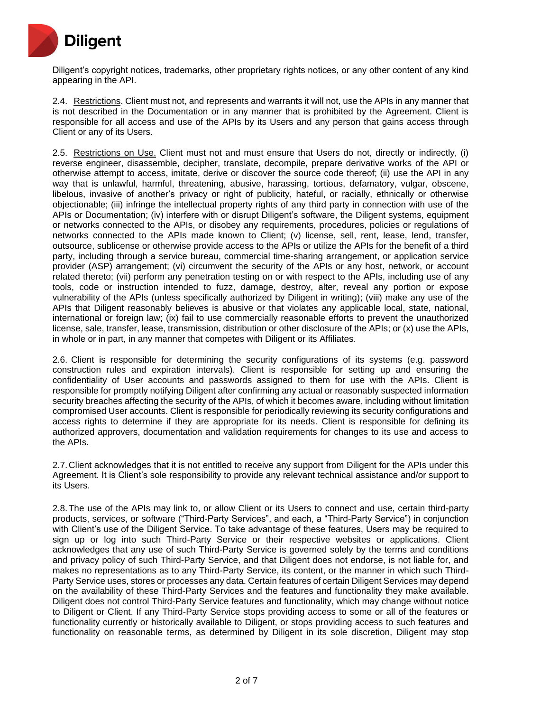

Diligent's copyright notices, trademarks, other proprietary rights notices, or any other content of any kind appearing in the API.

2.4. Restrictions. Client must not, and represents and warrants it will not, use the APIs in any manner that is not described in the Documentation or in any manner that is prohibited by the Agreement. Client is responsible for all access and use of the APIs by its Users and any person that gains access through Client or any of its Users.

2.5. Restrictions on Use. Client must not and must ensure that Users do not, directly or indirectly, (i) reverse engineer, disassemble, decipher, translate, decompile, prepare derivative works of the API or otherwise attempt to access, imitate, derive or discover the source code thereof; (ii) use the API in any way that is unlawful, harmful, threatening, abusive, harassing, tortious, defamatory, vulgar, obscene, libelous, invasive of another's privacy or right of publicity, hateful, or racially, ethnically or otherwise objectionable; (iii) infringe the intellectual property rights of any third party in connection with use of the APIs or Documentation; (iv) interfere with or disrupt Diligent's software, the Diligent systems, equipment or networks connected to the APIs, or disobey any requirements, procedures, policies or regulations of networks connected to the APIs made known to Client; (v) license, sell, rent, lease, lend, transfer, outsource, sublicense or otherwise provide access to the APIs or utilize the APIs for the benefit of a third party, including through a service bureau, commercial time-sharing arrangement, or application service provider (ASP) arrangement; (vi) circumvent the security of the APIs or any host, network, or account related thereto; (vii) perform any penetration testing on or with respect to the APIs, including use of any tools, code or instruction intended to fuzz, damage, destroy, alter, reveal any portion or expose vulnerability of the APIs (unless specifically authorized by Diligent in writing); (viii) make any use of the APIs that Diligent reasonably believes is abusive or that violates any applicable local, state, national, international or foreign law; (ix) fail to use commercially reasonable efforts to prevent the unauthorized license, sale, transfer, lease, transmission, distribution or other disclosure of the APIs; or (x) use the APIs, in whole or in part, in any manner that competes with Diligent or its Affiliates.

2.6. Client is responsible for determining the security configurations of its systems (e.g. password construction rules and expiration intervals). Client is responsible for setting up and ensuring the confidentiality of User accounts and passwords assigned to them for use with the APIs. Client is responsible for promptly notifying Diligent after confirming any actual or reasonably suspected information security breaches affecting the security of the APIs, of which it becomes aware, including without limitation compromised User accounts. Client is responsible for periodically reviewing its security configurations and access rights to determine if they are appropriate for its needs. Client is responsible for defining its authorized approvers, documentation and validation requirements for changes to its use and access to the APIs.

2.7.Client acknowledges that it is not entitled to receive any support from Diligent for the APIs under this Agreement. It is Client's sole responsibility to provide any relevant technical assistance and/or support to its Users.

2.8.The use of the APIs may link to, or allow Client or its Users to connect and use, certain third-party products, services, or software ("Third-Party Services", and each, a "Third-Party Service") in conjunction with Client's use of the Diligent Service. To take advantage of these features, Users may be required to sign up or log into such Third-Party Service or their respective websites or applications. Client acknowledges that any use of such Third-Party Service is governed solely by the terms and conditions and privacy policy of such Third-Party Service, and that Diligent does not endorse, is not liable for, and makes no representations as to any Third-Party Service, its content, or the manner in which such Third-Party Service uses, stores or processes any data. Certain features of certain Diligent Services may depend on the availability of these Third-Party Services and the features and functionality they make available. Diligent does not control Third-Party Service features and functionality, which may change without notice to Diligent or Client. If any Third-Party Service stops providing access to some or all of the features or functionality currently or historically available to Diligent, or stops providing access to such features and functionality on reasonable terms, as determined by Diligent in its sole discretion, Diligent may stop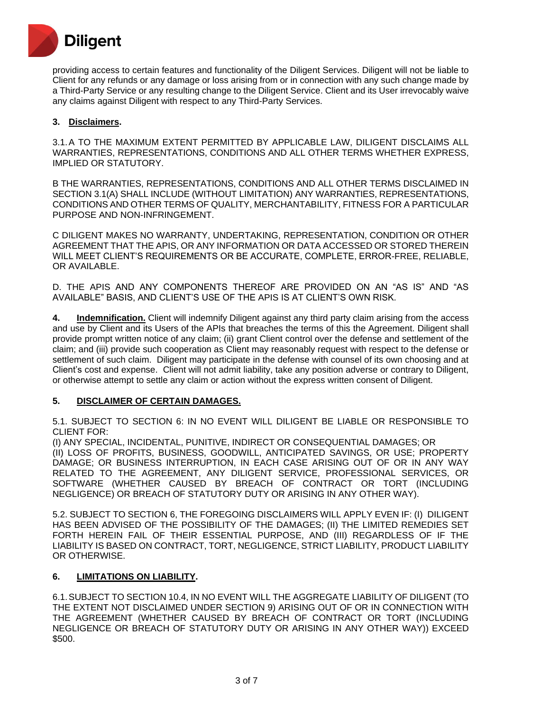

providing access to certain features and functionality of the Diligent Services. Diligent will not be liable to Client for any refunds or any damage or loss arising from or in connection with any such change made by a Third-Party Service or any resulting change to the Diligent Service. Client and its User irrevocably waive any claims against Diligent with respect to any Third-Party Services.

## **3. Disclaimers.**

3.1.A TO THE MAXIMUM EXTENT PERMITTED BY APPLICABLE LAW, DILIGENT DISCLAIMS ALL WARRANTIES, REPRESENTATIONS, CONDITIONS AND ALL OTHER TERMS WHETHER EXPRESS, IMPLIED OR STATUTORY.

B THE WARRANTIES, REPRESENTATIONS, CONDITIONS AND ALL OTHER TERMS DISCLAIMED IN SECTION 3.1(A) SHALL INCLUDE (WITHOUT LIMITATION) ANY WARRANTIES, REPRESENTATIONS, CONDITIONS AND OTHER TERMS OF QUALITY, MERCHANTABILITY, FITNESS FOR A PARTICULAR PURPOSE AND NON-INFRINGEMENT.

C DILIGENT MAKES NO WARRANTY, UNDERTAKING, REPRESENTATION, CONDITION OR OTHER AGREEMENT THAT THE APIS, OR ANY INFORMATION OR DATA ACCESSED OR STORED THEREIN WILL MEET CLIENT'S REQUIREMENTS OR BE ACCURATE, COMPLETE, ERROR-FREE, RELIABLE, OR AVAILABLE.

D. THE APIS AND ANY COMPONENTS THEREOF ARE PROVIDED ON AN "AS IS" AND "AS AVAILABLE" BASIS, AND CLIENT'S USE OF THE APIS IS AT CLIENT'S OWN RISK.

**4. Indemnification.** Client will indemnify Diligent against any third party claim arising from the access and use by Client and its Users of the APIs that breaches the terms of this the Agreement. Diligent shall provide prompt written notice of any claim; (ii) grant Client control over the defense and settlement of the claim; and (iii) provide such cooperation as Client may reasonably request with respect to the defense or settlement of such claim. Diligent may participate in the defense with counsel of its own choosing and at Client's cost and expense. Client will not admit liability, take any position adverse or contrary to Diligent, or otherwise attempt to settle any claim or action without the express written consent of Diligent.

### **5. DISCLAIMER OF CERTAIN DAMAGES.**

5.1. SUBJECT TO SECTION 6: IN NO EVENT WILL DILIGENT BE LIABLE OR RESPONSIBLE TO CLIENT FOR:

(I) ANY SPECIAL, INCIDENTAL, PUNITIVE, INDIRECT OR CONSEQUENTIAL DAMAGES; OR (II) LOSS OF PROFITS, BUSINESS, GOODWILL, ANTICIPATED SAVINGS, OR USE; PROPERTY DAMAGE; OR BUSINESS INTERRUPTION, IN EACH CASE ARISING OUT OF OR IN ANY WAY RELATED TO THE AGREEMENT, ANY DILIGENT SERVICE, PROFESSIONAL SERVICES, OR SOFTWARE (WHETHER CAUSED BY BREACH OF CONTRACT OR TORT (INCLUDING NEGLIGENCE) OR BREACH OF STATUTORY DUTY OR ARISING IN ANY OTHER WAY).

5.2. SUBJECT TO SECTION 6, THE FOREGOING DISCLAIMERS WILL APPLY EVEN IF: (I) DILIGENT HAS BEEN ADVISED OF THE POSSIBILITY OF THE DAMAGES; (II) THE LIMITED REMEDIES SET FORTH HEREIN FAIL OF THEIR ESSENTIAL PURPOSE, AND (III) REGARDLESS OF IF THE LIABILITY IS BASED ON CONTRACT, TORT, NEGLIGENCE, STRICT LIABILITY, PRODUCT LIABILITY OR OTHERWISE.

### **6. LIMITATIONS ON LIABILITY.**

6.1.SUBJECT TO SECTION 10.4, IN NO EVENT WILL THE AGGREGATE LIABILITY OF DILIGENT (TO THE EXTENT NOT DISCLAIMED UNDER SECTION 9) ARISING OUT OF OR IN CONNECTION WITH THE AGREEMENT (WHETHER CAUSED BY BREACH OF CONTRACT OR TORT (INCLUDING NEGLIGENCE OR BREACH OF STATUTORY DUTY OR ARISING IN ANY OTHER WAY)) EXCEED \$500.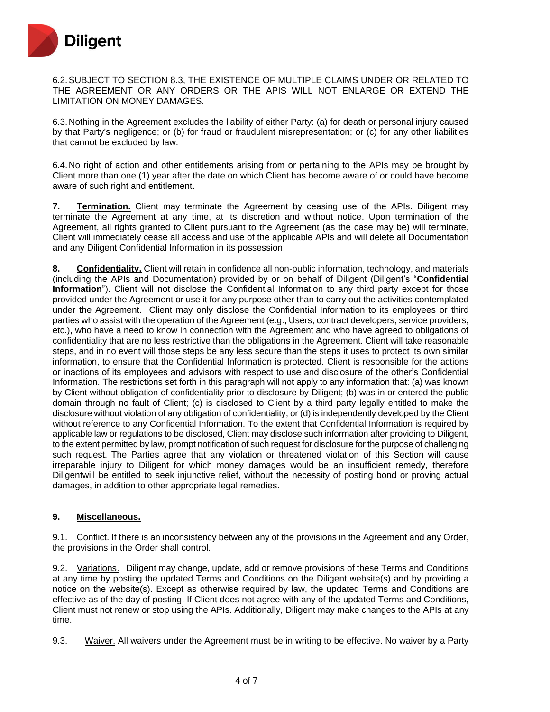

6.2.SUBJECT TO SECTION 8.3, THE EXISTENCE OF MULTIPLE CLAIMS UNDER OR RELATED TO THE AGREEMENT OR ANY ORDERS OR THE APIS WILL NOT ENLARGE OR EXTEND THE LIMITATION ON MONEY DAMAGES.

6.3.Nothing in the Agreement excludes the liability of either Party: (a) for death or personal injury caused by that Party's negligence; or (b) for fraud or fraudulent misrepresentation; or (c) for any other liabilities that cannot be excluded by law.

6.4.No right of action and other entitlements arising from or pertaining to the APIs may be brought by Client more than one (1) year after the date on which Client has become aware of or could have become aware of such right and entitlement.

**7. Termination.** Client may terminate the Agreement by ceasing use of the APIs. Diligent may terminate the Agreement at any time, at its discretion and without notice. Upon termination of the Agreement, all rights granted to Client pursuant to the Agreement (as the case may be) will terminate, Client will immediately cease all access and use of the applicable APIs and will delete all Documentation and any Diligent Confidential Information in its possession.

**8. Confidentiality.** Client will retain in confidence all non-public information, technology, and materials (including the APIs and Documentation) provided by or on behalf of Diligent (Diligent's "**Confidential Information**"). Client will not disclose the Confidential Information to any third party except for those provided under the Agreement or use it for any purpose other than to carry out the activities contemplated under the Agreement. Client may only disclose the Confidential Information to its employees or third parties who assist with the operation of the Agreement (e.g., Users, contract developers, service providers, etc.), who have a need to know in connection with the Agreement and who have agreed to obligations of confidentiality that are no less restrictive than the obligations in the Agreement. Client will take reasonable steps, and in no event will those steps be any less secure than the steps it uses to protect its own similar information, to ensure that the Confidential Information is protected. Client is responsible for the actions or inactions of its employees and advisors with respect to use and disclosure of the other's Confidential Information. The restrictions set forth in this paragraph will not apply to any information that: (a) was known by Client without obligation of confidentiality prior to disclosure by Diligent; (b) was in or entered the public domain through no fault of Client; (c) is disclosed to Client by a third party legally entitled to make the disclosure without violation of any obligation of confidentiality; or (d) is independently developed by the Client without reference to any Confidential Information. To the extent that Confidential Information is required by applicable law or regulations to be disclosed, Client may disclose such information after providing to Diligent, to the extent permitted by law, prompt notification of such request for disclosure for the purpose of challenging such request. The Parties agree that any violation or threatened violation of this Section will cause irreparable injury to Diligent for which money damages would be an insufficient remedy, therefore Diligentwill be entitled to seek injunctive relief, without the necessity of posting bond or proving actual damages, in addition to other appropriate legal remedies.

#### **9. Miscellaneous.**

9.1. Conflict. If there is an inconsistency between any of the provisions in the Agreement and any Order, the provisions in the Order shall control.

9.2. Variations. Diligent may change, update, add or remove provisions of these Terms and Conditions at any time by posting the updated Terms and Conditions on the Diligent website(s) and by providing a notice on the website(s). Except as otherwise required by law, the updated Terms and Conditions are effective as of the day of posting. If Client does not agree with any of the updated Terms and Conditions, Client must not renew or stop using the APIs. Additionally, Diligent may make changes to the APIs at any time.

9.3. Waiver. All waivers under the Agreement must be in writing to be effective. No waiver by a Party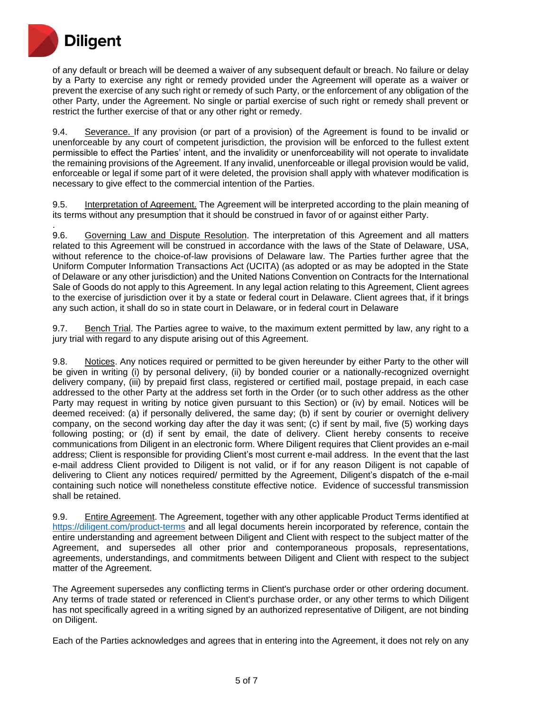

of any default or breach will be deemed a waiver of any subsequent default or breach. No failure or delay by a Party to exercise any right or remedy provided under the Agreement will operate as a waiver or prevent the exercise of any such right or remedy of such Party, or the enforcement of any obligation of the other Party, under the Agreement. No single or partial exercise of such right or remedy shall prevent or restrict the further exercise of that or any other right or remedy.

9.4. Severance. If any provision (or part of a provision) of the Agreement is found to be invalid or unenforceable by any court of competent jurisdiction, the provision will be enforced to the fullest extent permissible to effect the Parties' intent, and the invalidity or unenforceability will not operate to invalidate the remaining provisions of the Agreement. If any invalid, unenforceable or illegal provision would be valid, enforceable or legal if some part of it were deleted, the provision shall apply with whatever modification is necessary to give effect to the commercial intention of the Parties.

9.5. Interpretation of Agreement. The Agreement will be interpreted according to the plain meaning of its terms without any presumption that it should be construed in favor of or against either Party.

. 9.6. Governing Law and Dispute Resolution. The interpretation of this Agreement and all matters related to this Agreement will be construed in accordance with the laws of the State of Delaware, USA, without reference to the choice-of-law provisions of Delaware law. The Parties further agree that the Uniform Computer Information Transactions Act (UCITA) (as adopted or as may be adopted in the State of Delaware or any other jurisdiction) and the United Nations Convention on Contracts for the International Sale of Goods do not apply to this Agreement. In any legal action relating to this Agreement, Client agrees to the exercise of jurisdiction over it by a state or federal court in Delaware. Client agrees that, if it brings any such action, it shall do so in state court in Delaware, or in federal court in Delaware

9.7. Bench Trial. The Parties agree to waive, to the maximum extent permitted by law, any right to a jury trial with regard to any dispute arising out of this Agreement.

9.8. Notices. Any notices required or permitted to be given hereunder by either Party to the other will be given in writing (i) by personal delivery, (ii) by bonded courier or a nationally-recognized overnight delivery company, (iii) by prepaid first class, registered or certified mail, postage prepaid, in each case addressed to the other Party at the address set forth in the Order (or to such other address as the other Party may request in writing by notice given pursuant to this Section) or (iv) by email. Notices will be deemed received: (a) if personally delivered, the same day; (b) if sent by courier or overnight delivery company, on the second working day after the day it was sent; (c) if sent by mail, five (5) working days following posting; or (d) if sent by email, the date of delivery. Client hereby consents to receive communications from Diligent in an electronic form. Where Diligent requires that Client provides an e-mail address; Client is responsible for providing Client's most current e-mail address. In the event that the last e-mail address Client provided to Diligent is not valid, or if for any reason Diligent is not capable of delivering to Client any notices required/ permitted by the Agreement, Diligent's dispatch of the e-mail containing such notice will nonetheless constitute effective notice. Evidence of successful transmission shall be retained.

9.9. Entire Agreement. The Agreement, together with any other applicable Product Terms identified at <https://diligent.com/product-terms> and all legal documents herein incorporated by reference, contain the entire understanding and agreement between Diligent and Client with respect to the subject matter of the Agreement, and supersedes all other prior and contemporaneous proposals, representations, agreements, understandings, and commitments between Diligent and Client with respect to the subject matter of the Agreement.

The Agreement supersedes any conflicting terms in Client's purchase order or other ordering document. Any terms of trade stated or referenced in Client's purchase order, or any other terms to which Diligent has not specifically agreed in a writing signed by an authorized representative of Diligent, are not binding on Diligent.

Each of the Parties acknowledges and agrees that in entering into the Agreement, it does not rely on any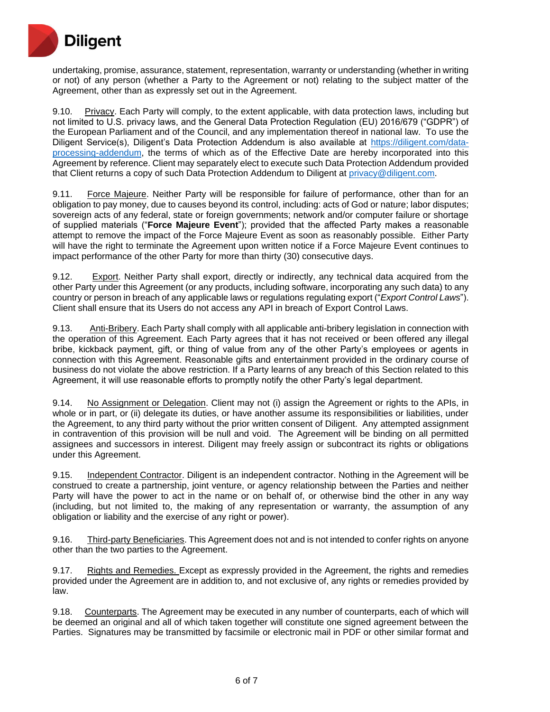

undertaking, promise, assurance, statement, representation, warranty or understanding (whether in writing or not) of any person (whether a Party to the Agreement or not) relating to the subject matter of the Agreement, other than as expressly set out in the Agreement.

9.10. Privacy. Each Party will comply, to the extent applicable, with data protection laws, including but not limited to U.S. privacy laws, and the General Data Protection Regulation (EU) 2016/679 ("GDPR") of the European Parliament and of the Council, and any implementation thereof in national law. To use the Diligent Service(s), Diligent's Data Protection Addendum is also available at [https://diligent.com/data](https://diligent.com/data-processing-addendum)[processing-addendum,](https://diligent.com/data-processing-addendum) the terms of which as of the Effective Date are hereby incorporated into this Agreement by reference. Client may separately elect to execute such Data Protection Addendum provided that Client returns a copy of such Data Protection Addendum to Diligent at [privacy@diligent.com.](mailto:privacy@diligent.com)

9.11. Force Majeure. Neither Party will be responsible for failure of performance, other than for an obligation to pay money, due to causes beyond its control, including: acts of God or nature; labor disputes; sovereign acts of any federal, state or foreign governments; network and/or computer failure or shortage of supplied materials ("**Force Majeure Event**"); provided that the affected Party makes a reasonable attempt to remove the impact of the Force Majeure Event as soon as reasonably possible. Either Party will have the right to terminate the Agreement upon written notice if a Force Majeure Event continues to impact performance of the other Party for more than thirty (30) consecutive days.

9.12. Export. Neither Party shall export, directly or indirectly, any technical data acquired from the other Party under this Agreement (or any products, including software, incorporating any such data) to any country or person in breach of any applicable laws or regulations regulating export ("*Export Control Laws*"). Client shall ensure that its Users do not access any API in breach of Export Control Laws.

9.13. Anti-Bribery. Each Party shall comply with all applicable anti-bribery legislation in connection with the operation of this Agreement. Each Party agrees that it has not received or been offered any illegal bribe, kickback payment, gift, or thing of value from any of the other Party's employees or agents in connection with this Agreement. Reasonable gifts and entertainment provided in the ordinary course of business do not violate the above restriction. If a Party learns of any breach of this Section related to this Agreement, it will use reasonable efforts to promptly notify the other Party's legal department.

9.14. No Assignment or Delegation. Client may not (i) assign the Agreement or rights to the APIs, in whole or in part, or (ii) delegate its duties, or have another assume its responsibilities or liabilities, under the Agreement, to any third party without the prior written consent of Diligent. Any attempted assignment in contravention of this provision will be null and void. The Agreement will be binding on all permitted assignees and successors in interest. Diligent may freely assign or subcontract its rights or obligations under this Agreement.

9.15. Independent Contractor. Diligent is an independent contractor. Nothing in the Agreement will be construed to create a partnership, joint venture, or agency relationship between the Parties and neither Party will have the power to act in the name or on behalf of, or otherwise bind the other in any way (including, but not limited to, the making of any representation or warranty, the assumption of any obligation or liability and the exercise of any right or power).

9.16. Third-party Beneficiaries. This Agreement does not and is not intended to confer rights on anyone other than the two parties to the Agreement.

9.17. Rights and Remedies. Except as expressly provided in the Agreement, the rights and remedies provided under the Agreement are in addition to, and not exclusive of, any rights or remedies provided by law.

9.18. Counterparts. The Agreement may be executed in any number of counterparts, each of which will be deemed an original and all of which taken together will constitute one signed agreement between the Parties. Signatures may be transmitted by facsimile or electronic mail in PDF or other similar format and